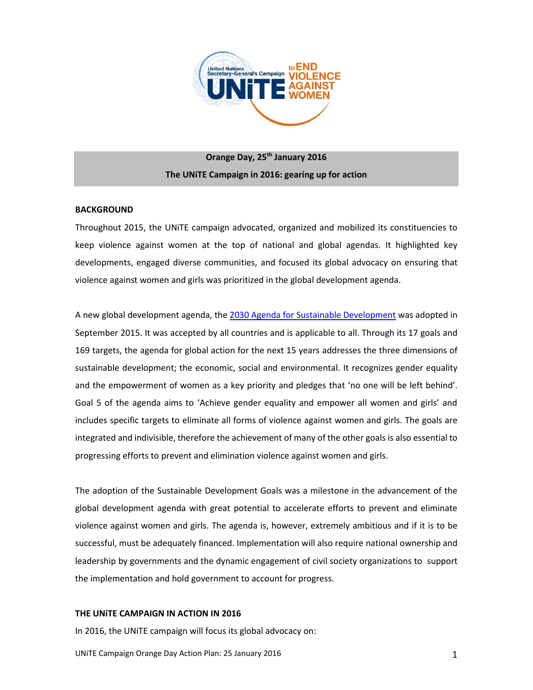

# **Orange Day, 25th January 2016 The UNiTE Campaign in 2016: gearing up for action**

# **BACKGROUND**

Throughout 2015, the UNiTE campaign advocated, organized and mobilized its constituencies to keep violence against women at the top of national and global agendas. It highlighted key developments, engaged diverse communities, and focused its global advocacy on ensuring that violence against women and girls was prioritized in the global development agenda.

A new global development agenda, the [2030 Agenda for Sustainable Development](http://www.un.org/ga/search/view_doc.asp?symbol=A/69/L.85&Lang=E) was adopted in September 2015. It was accepted by all countries and is applicable to all. Through its 17 goals and 169 targets, the agenda for global action for the next 15 years addresses the three dimensions of sustainable development; the economic, social and environmental. It recognizes gender equality and the empowerment of women as a key priority and pledges that 'no one will be left behind'. Goal 5 of the agenda aims to 'Achieve gender equality and empower all women and girls' and includes specific targets to eliminate all forms of violence against women and girls. The goals are integrated and indivisible, therefore the achievement of many of the other goals is also essential to progressing efforts to prevent and elimination violence against women and girls.

The adoption of the Sustainable Development Goals was a milestone in the advancement of the global development agenda with great potential to accelerate efforts to prevent and eliminate violence against women and girls. The agenda is, however, extremely ambitious and if it is to be successful, must be adequately financed. Implementation will also require national ownership and leadership by governments and the dynamic engagement of civil society organizations to support the implementation and hold government to account for progress.

# **THE UNiTE CAMPAIGN IN ACTION IN 2016**

In 2016, the UNiTE campaign will focus its global advocacy on: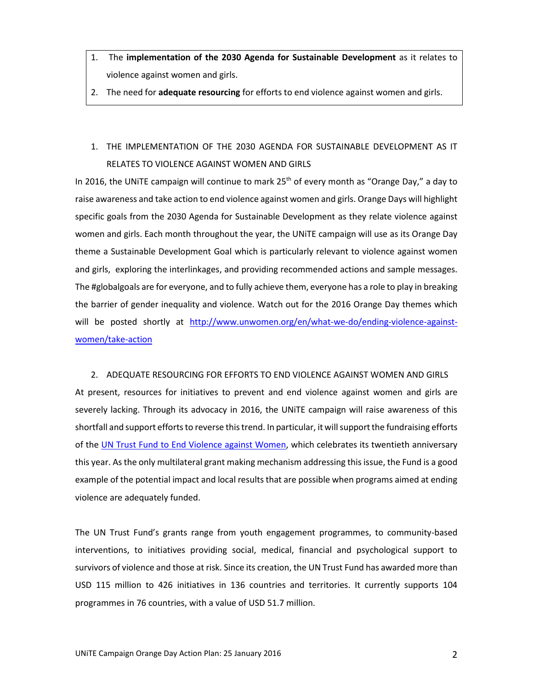- 1. The **implementation of the 2030 Agenda for Sustainable Development** as it relates to violence against women and girls.
- 2. The need for **adequate resourcing** for efforts to end violence against women and girls.

# 1. THE IMPLEMENTATION OF THE 2030 AGENDA FOR SUSTAINABLE DEVELOPMENT AS IT RELATES TO VIOLENCE AGAINST WOMEN AND GIRLS

In 2016, the UNITE campaign will continue to mark  $25<sup>th</sup>$  of every month as "Orange Day," a day to raise awareness and take action to end violence against women and girls. Orange Days will highlight specific goals from the 2030 Agenda for Sustainable Development as they relate violence against women and girls. Each month throughout the year, the UNiTE campaign will use as its Orange Day theme a Sustainable Development Goal which is particularly relevant to violence against women and girls, exploring the interlinkages, and providing recommended actions and sample messages. The #globalgoals are for everyone, and to fully achieve them, everyone has a role to play in breaking the barrier of gender inequality and violence. Watch out for the 2016 Orange Day themes which will be posted shortly at [http://www.unwomen.org/en/what-we-do/ending-violence-against](http://www.unwomen.org/en/what-we-do/ending-violence-against-women/take-action)[women/take-action](http://www.unwomen.org/en/what-we-do/ending-violence-against-women/take-action)

2. ADEQUATE RESOURCING FOR EFFORTS TO END VIOLENCE AGAINST WOMEN AND GIRLS At present, resources for initiatives to prevent and end violence against women and girls are severely lacking. Through its advocacy in 2016, the UNiTE campaign will raise awareness of this shortfall and support efforts to reverse this trend. In particular, it will support the fundraising efforts of the [UN Trust Fund to End Violence against Women,](http://www.unwomen.org/en/trust-funds/un-trust-fund-to-end-violence-against-women) which celebrates its twentieth anniversary this year. As the only multilateral grant making mechanism addressing this issue, the Fund is a good example of the potential impact and local results that are possible when programs aimed at ending violence are adequately funded.

The UN Trust Fund's grants range from youth engagement programmes, to community-based interventions, to initiatives providing social, medical, financial and psychological support to survivors of violence and those at risk. Since its creation, the UN Trust Fund has awarded more than USD 115 million to 426 initiatives in 136 countries and territories. It currently supports 104 programmes in 76 countries, with a value of USD 51.7 million.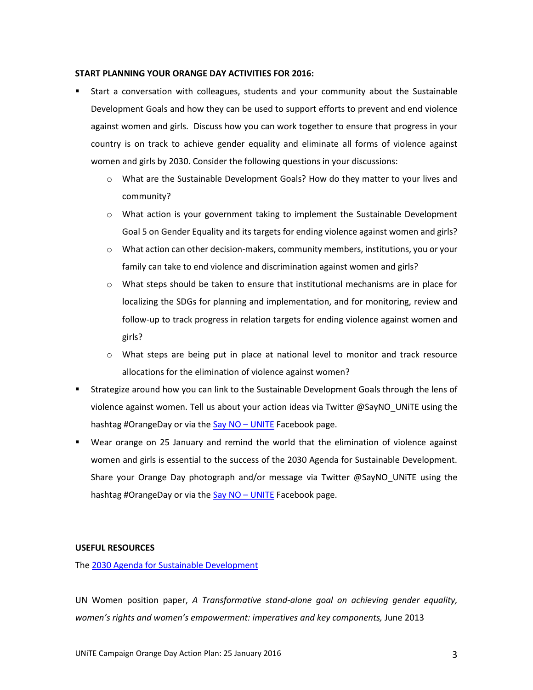#### **START PLANNING YOUR ORANGE DAY ACTIVITIES FOR 2016:**

- Start a conversation with colleagues, students and your community about the Sustainable Development Goals and how they can be used to support efforts to prevent and end violence against women and girls. Discuss how you can work together to ensure that progress in your country is on track to achieve gender equality and eliminate all forms of violence against women and girls by 2030. Consider the following questions in your discussions:
	- o What are the Sustainable Development Goals? How do they matter to your lives and community?
	- $\circ$  What action is your government taking to implement the Sustainable Development Goal 5 on Gender Equality and its targets for ending violence against women and girls?
	- o What action can other decision-makers, community members, institutions, you or your family can take to end violence and discrimination against women and girls?
	- $\circ$  What steps should be taken to ensure that institutional mechanisms are in place for localizing the SDGs for planning and implementation, and for monitoring, review and follow-up to track progress in relation targets for ending violence against women and girls?
	- o What steps are being put in place at national level to monitor and track resource allocations for the elimination of violence against women?
- Strategize around how you can link to the Sustainable Development Goals through the lens of violence against women. Tell us about your action ideas via Twitter @SayNO\_UNiTE using the hashtag #OrangeDay or via th[e Say NO](https://www.facebook.com/SayNO.UNiTE) – UNITE Facebook page.
- Wear orange on 25 January and remind the world that the elimination of violence against women and girls is essential to the success of the 2030 Agenda for Sustainable Development. Share your Orange Day photograph and/or message via Twitter @SayNO\_UNiTE using the hashtag #OrangeDay or via th[e Say NO](https://www.facebook.com/SayNO.UNiTE) – UNITE Facebook page.

# **USEFUL RESOURCES**

Th[e 2030 Agenda for Sustainable Development](http://www.un.org/ga/search/view_doc.asp?symbol=A/69/L.85&Lang=E)

UN Women position paper, *A Transformative stand-alone goal on achieving gender equality, women's rights and women's empowerment: imperatives and key components, June 2013*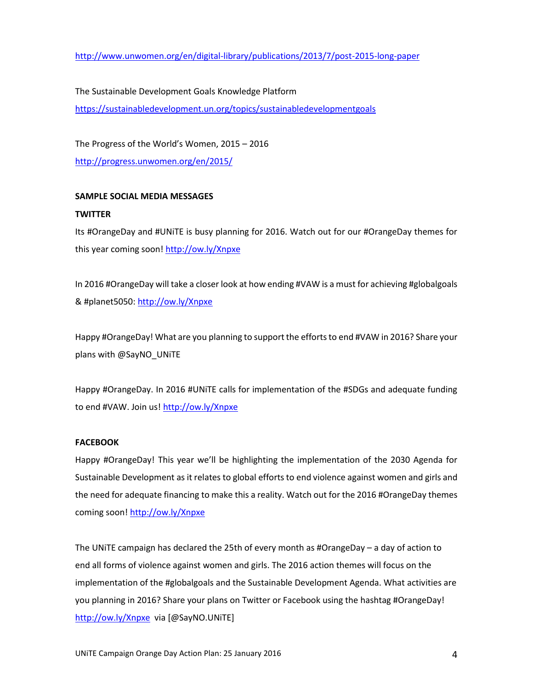<http://www.unwomen.org/en/digital-library/publications/2013/7/post-2015-long-paper>

The Sustainable Development Goals Knowledge Platform <https://sustainabledevelopment.un.org/topics/sustainabledevelopmentgoals>

The Progress of the World's Women, 2015 – 2016 <http://progress.unwomen.org/en/2015/>

# **SAMPLE SOCIAL MEDIA MESSAGES**

# **TWITTER**

Its #OrangeDay and #UNiTE is busy planning for 2016. Watch out for our #OrangeDay themes for this year coming soon!<http://ow.ly/Xnpxe>

In 2016 #OrangeDay will take a closer look at how ending #VAW is a must for achieving #globalgoals & #planet5050:<http://ow.ly/Xnpxe>

Happy #OrangeDay! What are you planning to support the efforts to end #VAW in 2016? Share your plans with @SayNO\_UNiTE

Happy #OrangeDay. In 2016 #UNiTE calls for implementation of the #SDGs and adequate funding to end #VAW. Join us!<http://ow.ly/Xnpxe>

# **FACEBOOK**

Happy #OrangeDay! This year we'll be highlighting the implementation of the 2030 Agenda for Sustainable Development as it relates to global efforts to end violence against women and girls and the need for adequate financing to make this a reality. Watch out for the 2016 #OrangeDay themes coming soon! <http://ow.ly/Xnpxe>

The UNiTE campaign has declared the 25th of every month as #OrangeDay – a day of action to end all forms of violence against women and girls. The 2016 action themes will focus on the implementation of the #globalgoals and the Sustainable Development Agenda. What activities are you planning in 2016? Share your plans on Twitter or Facebook using the hashtag #OrangeDay! <http://ow.ly/Xnpxe> via [@SayNO.UNiTE]